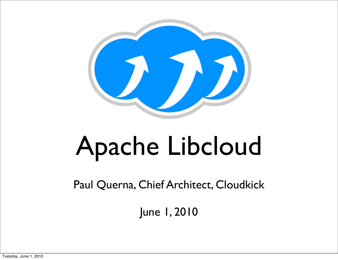

### Apache Libcloud

Paul Querna, Chief Architect, Cloudkick

June 1, 2010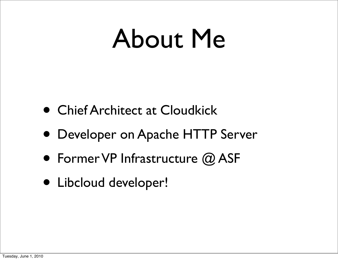#### About Me

- Chief Architect at Cloudkick
- Developer on Apache HTTP Server
- Former VP Infrastructure @ ASF
- Libcloud developer!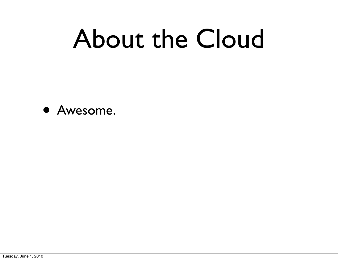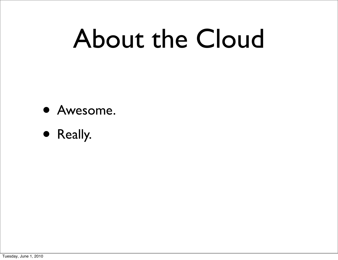

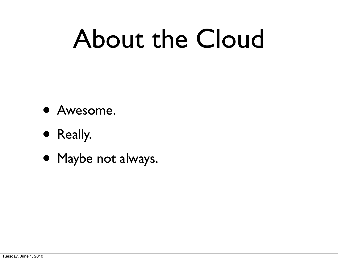- Awesome.
- Really.
- Maybe not always.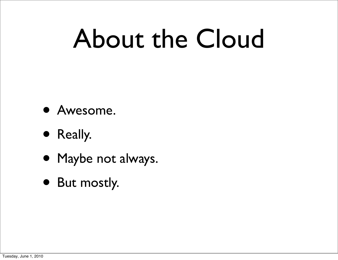- Awesome.
- Really.
- Maybe not always.
- But mostly.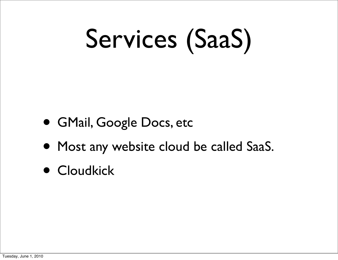## Services (SaaS)

- GMail, Google Docs, etc
- Most any website cloud be called SaaS.
- Cloudkick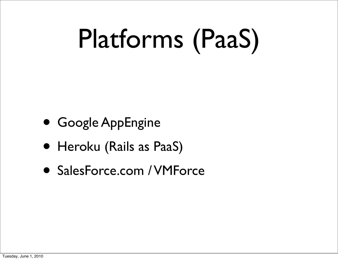## Platforms (PaaS)

- Google AppEngine
- Heroku (Rails as PaaS)
- SalesForce.com / VMForce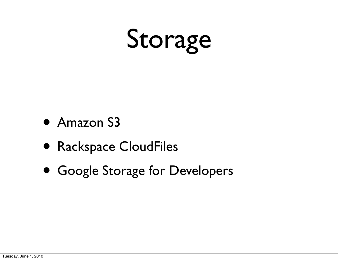## Storage

- Amazon S3
- Rackspace CloudFiles
- Google Storage for Developers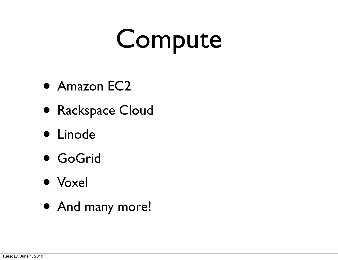### Compute

- Amazon EC2
- Rackspace Cloud
- Linode
- GoGrid
- Voxel
- And many more!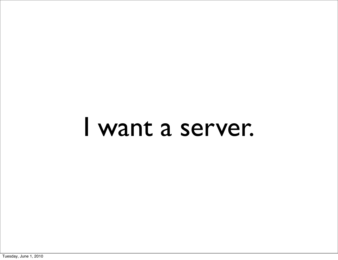#### I want a server.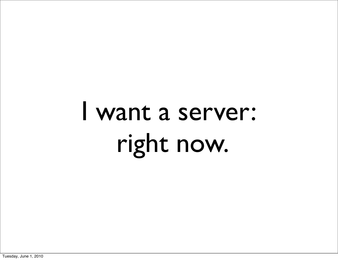### I want a server: right now.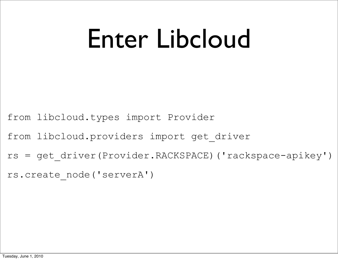### Enter Libcloud

from libcloud.types import Provider

from libcloud.providers import get\_driver

rs = get\_driver(Provider.RACKSPACE)('rackspace-apikey')

rs.create\_node('serverA')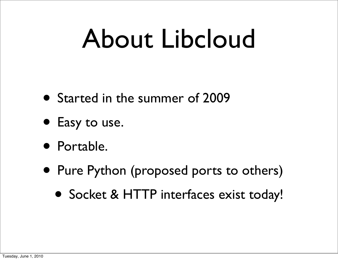### About Libcloud

- Started in the summer of 2009
- Easy to use.
- Portable.
- Pure Python (proposed ports to others)
	- Socket & HTTP interfaces exist today!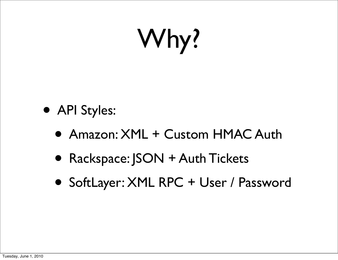## Why?

- API Styles:
	- Amazon: XML + Custom HMAC Auth
	- Rackspace: JSON + Auth Tickets
	- SoftLayer: XML RPC + User / Password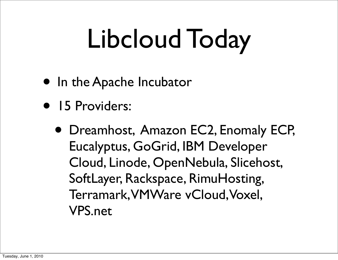## Libcloud Today

- In the Apache Incubator
- 15 Providers:
	- Dreamhost, Amazon EC2, Enomaly ECP, Eucalyptus, GoGrid, IBM Developer Cloud, Linode, OpenNebula, Slicehost, SoftLayer, Rackspace, RimuHosting, Terramark, VMWare vCloud, Voxel, VPS.net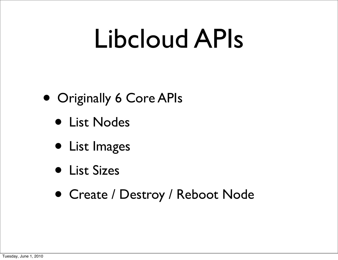### Libcloud APIs

- Originally 6 Core APIs
	- List Nodes
	- List Images
	- List Sizes
	- Create / Destroy / Reboot Node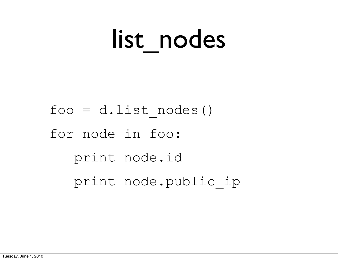### list\_nodes

 $foo = d.list nodes()$ for node in foo: print node.id print node.public\_ip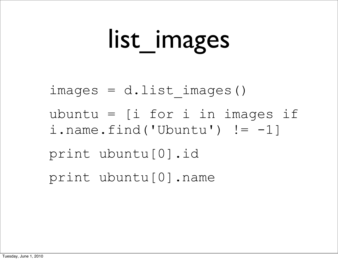### list\_images

 $images = d.list images()$ ubuntu = [i for i in images if i.name.find('Ubuntu')  $!= -1]$ print ubuntu[0].id print ubuntu[0].name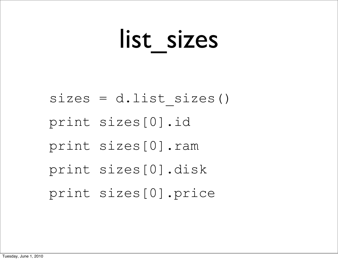### list sizes

 $sizes = d.list sizes()$ print sizes[0].id print sizes[0].ram print sizes[0].disk print sizes[0].price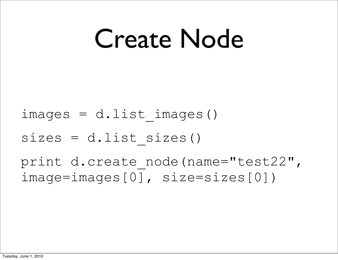### Create Node

 $images = d.list images()$ 

 $sizes = d$ .list sizes()

print d.create node(name="test22", image=images[0], size=sizes[0])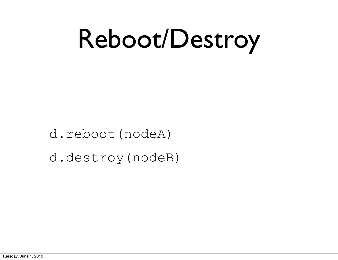## Reboot/Destroy

d.reboot(nodeA) d.destroy(nodeB)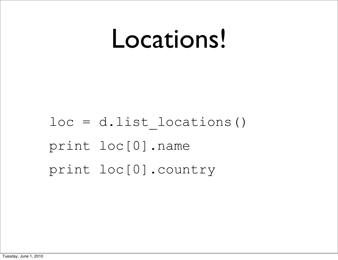#### Locations!

loc = d.list\_locations() print loc[0].name print loc[0].country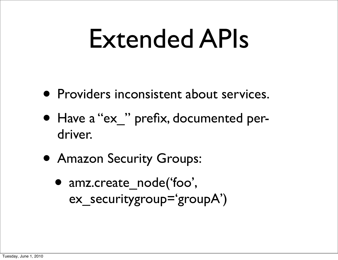### Extended APIs

- Providers inconsistent about services.
- Have a "ex" prefix, documented perdriver.
- Amazon Security Groups:
	- amz.create\_node('foo', ex securitygroup='groupA')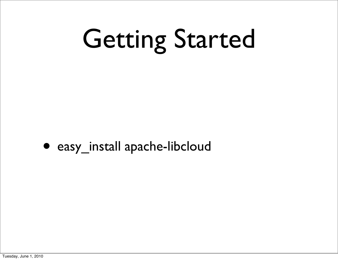## Getting Started



• easy\_install apache-libcloud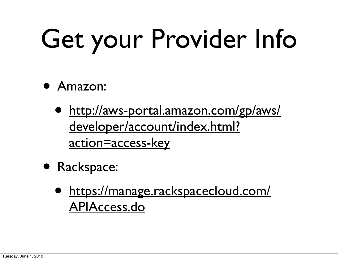# Get your Provider Info

- Amazon:
	- [http://aws-portal.amazon.com/gp/aws/](http://aws-portal.amazon.com/gp/aws/developer/account/index.html?action=access-key) [developer/account/index.html?](http://aws-portal.amazon.com/gp/aws/developer/account/index.html?action=access-key) [action=access-key](http://aws-portal.amazon.com/gp/aws/developer/account/index.html?action=access-key)
- Rackspace:
	- [https://manage.rackspacecloud.com/](https://manage.rackspacecloud.com/APIAccess.do) [APIAccess.do](https://manage.rackspacecloud.com/APIAccess.do)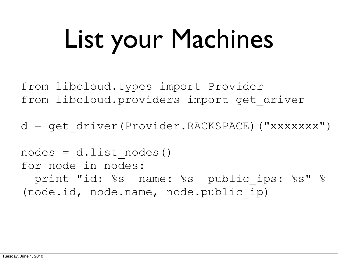## List your Machines

from libcloud.types import Provider from libcloud.providers import get\_driver

d = get\_driver(Provider.RACKSPACE)("xxxxxxx")

 $nodes = d.list nodes()$ for node in nodes: print "id: %s name: %s public ips: %s" % (node.id, node.name, node.public\_ip)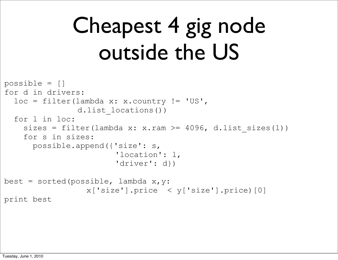#### Cheapest 4 gig node outside the US

```
possible = []
for d in drivers:
  loc = filter(lambda x: x.courtry != 'US', d.list_locations())
   for l in loc:
    sizes = filter(lambda x: x.ram >= 4096, d.list sizes(l))
     for s in sizes:
       possible.append({'size': s,
                         'location': l,
                        'driver': d})
best = sorted(possible, lambda x, y:
                  x['size'].price < y['size'].price)[0]
print best
```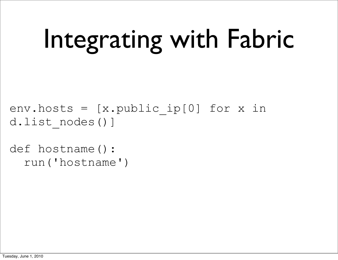## Integrating with Fabric

env.hosts =  $[x.public *ip[0]* for x in$ d.list\_nodes()]

def hostname(): run('hostname')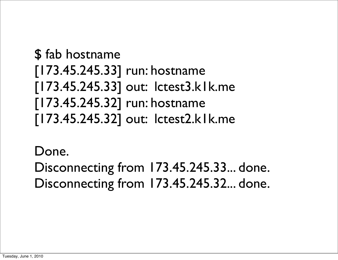#### **\$** fab hostname [173.45.245.33] run: hostname [173.45.245.33] out: lctest3.k1k.me [173.45.245.32] run: hostname [173.45.245.32] out: lctest2.k1k.me

Done.

Disconnecting from 173.45.245.33... done. Disconnecting from 173.45.245.32... done.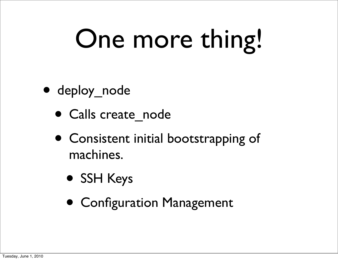## One more thing!

- deploy\_node
	- Calls create node
	- Consistent initial bootstrapping of machines.
		- SSH Keys
		- Configuration Management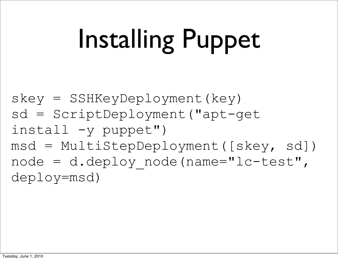## Installing Puppet

skey = SSHKeyDeployment(key) sd = ScriptDeployment("apt-get  $insball$  -y puppet") msd = MultiStepDeployment([skey, sd]) node = d.deploy node(name="lc-test", deploy=msd)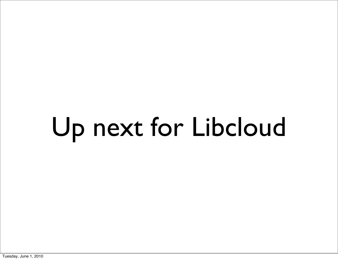# Up next for Libcloud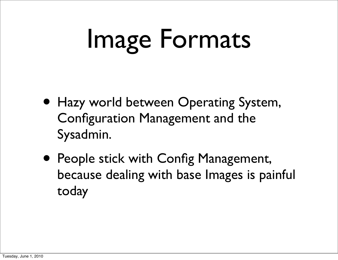## Image Formats

- Hazy world between Operating System, Configuration Management and the Sysadmin.
- People stick with Config Management, because dealing with base Images is painful today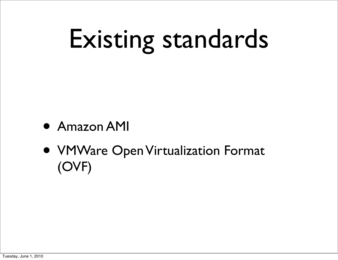## Existing standards

- Amazon AMI
- VMWare Open Virtualization Format (OVF)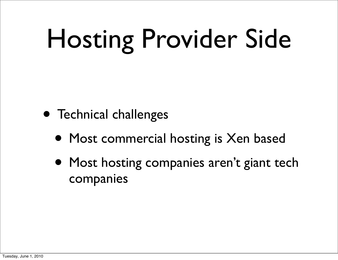## Hosting Provider Side

- Technical challenges
	- Most commercial hosting is Xen based
	- Most hosting companies aren't giant tech companies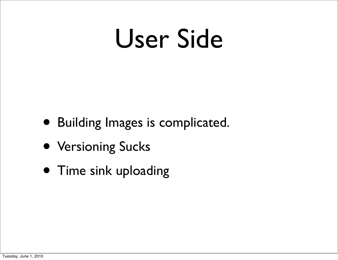### User Side

- Building Images is complicated.
- Versioning Sucks
- Time sink uploading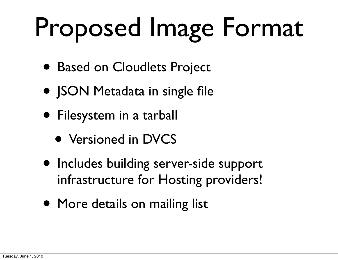## Proposed Image Format

- Based on Cloudlets Project
- **JSON Metadata in single file**
- Filesystem in a tarball
	- Versioned in DVCS
- Includes building server-side support infrastructure for Hosting providers!
- More details on mailing list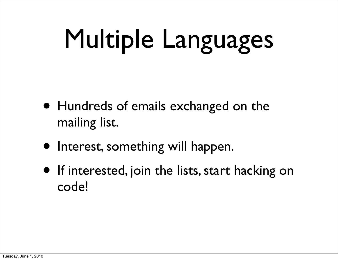## Multiple Languages

- Hundreds of emails exchanged on the mailing list.
- Interest, something will happen.
- If interested, join the lists, start hacking on code!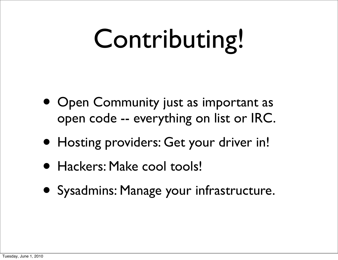## Contributing!

- Open Community just as important as open code -- everything on list or IRC.
- Hosting providers: Get your driver in!
- Hackers: Make cool tools!
- Sysadmins: Manage your infrastructure.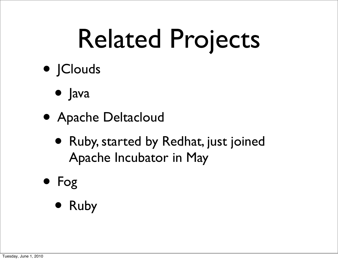## Related Projects

- JClouds
	- Java
- Apache Deltacloud
	- Ruby, started by Redhat, just joined Apache Incubator in May
- Fog
	- Ruby